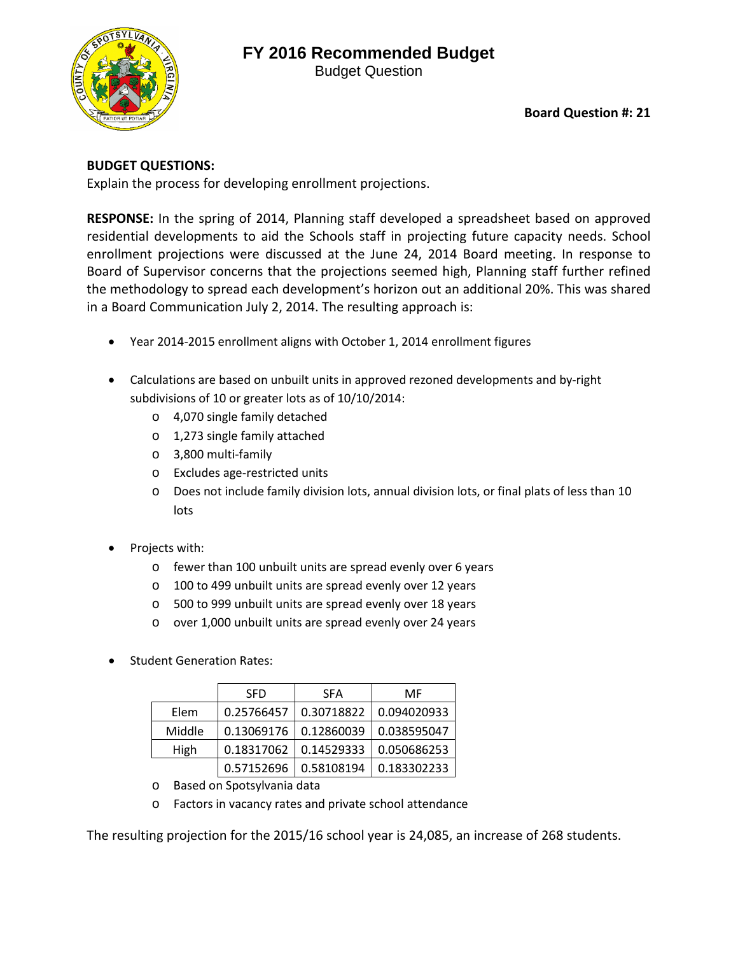## **FY 2016 Recommended Budget**





**Board Question #: 21**

## **BUDGET QUESTIONS:**

Explain the process for developing enrollment projections.

**RESPONSE:** In the spring of 2014, Planning staff developed a spreadsheet based on approved residential developments to aid the Schools staff in projecting future capacity needs. School enrollment projections were discussed at the June 24, 2014 Board meeting. In response to Board of Supervisor concerns that the projections seemed high, Planning staff further refined the methodology to spread each development's horizon out an additional 20%. This was shared in a Board Communication July 2, 2014. The resulting approach is:

- Year 2014-2015 enrollment aligns with October 1, 2014 enrollment figures
- Calculations are based on unbuilt units in approved rezoned developments and by-right subdivisions of 10 or greater lots as of 10/10/2014:
	- o 4,070 single family detached
	- o 1,273 single family attached
	- o 3,800 multi-family
	- o Excludes age-restricted units
	- o Does not include family division lots, annual division lots, or final plats of less than 10 lots
- Projects with:
	- o fewer than 100 unbuilt units are spread evenly over 6 years
	- o 100 to 499 unbuilt units are spread evenly over 12 years
	- o 500 to 999 unbuilt units are spread evenly over 18 years
	- o over 1,000 unbuilt units are spread evenly over 24 years
- Student Generation Rates:

|        | <b>SFD</b> | <b>SFA</b> | MF          |
|--------|------------|------------|-------------|
| Elem   | 0.25766457 | 0.30718822 | 0.094020933 |
| Middle | 0.13069176 | 0.12860039 | 0.038595047 |
| High   | 0.18317062 | 0.14529333 | 0.050686253 |
|        | 0.57152696 | 0.58108194 | 0.183302233 |

- o Based on Spotsylvania data
- o Factors in vacancy rates and private school attendance

The resulting projection for the 2015/16 school year is 24,085, an increase of 268 students.